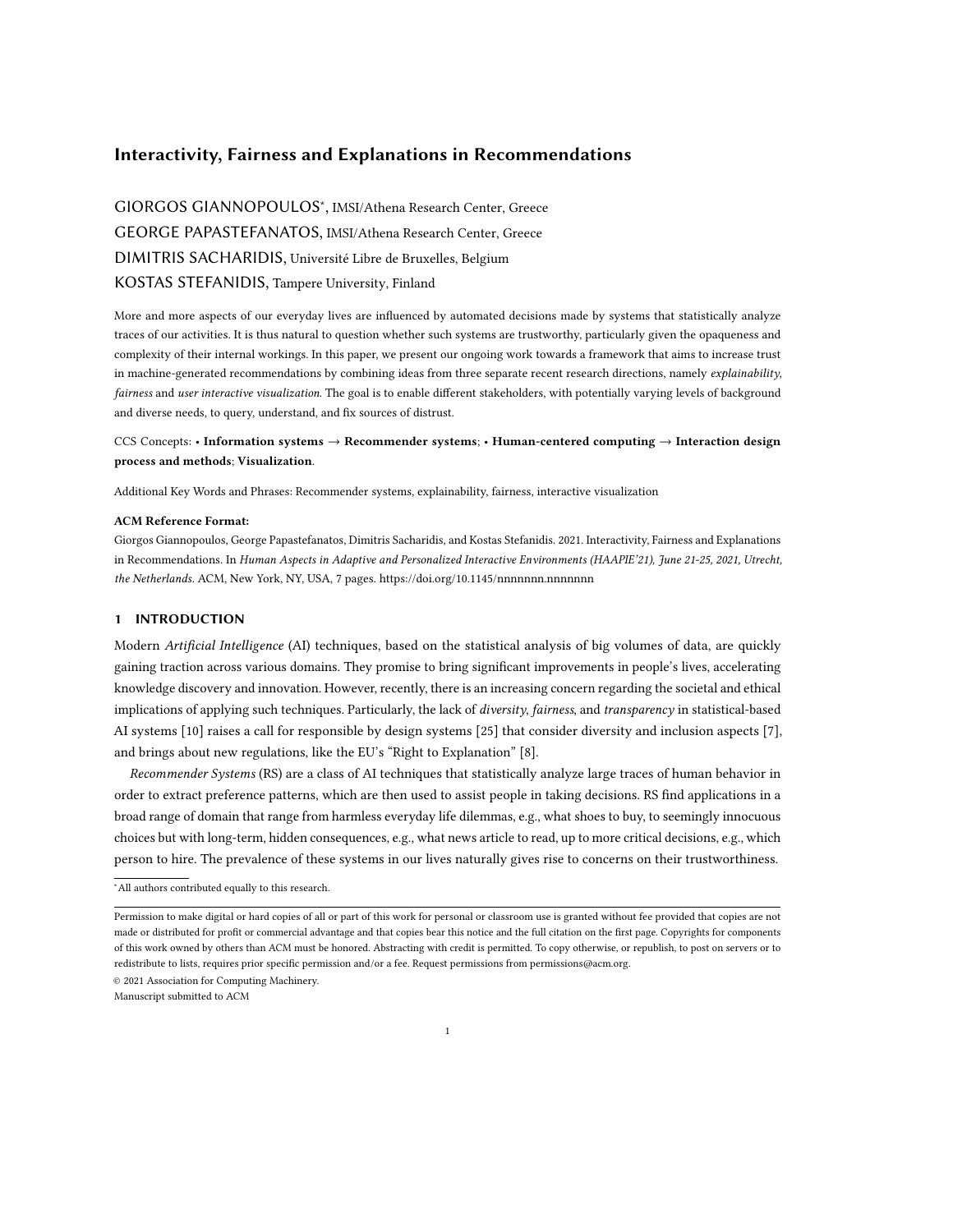# Interactivity, Fairness and Explanations in Recommendations

GIORGOS GIANNOPOULOS<sup>∗</sup> , IMSI/Athena Research Center, Greece GEORGE PAPASTEFANATOS, IMSI/Athena Research Center, Greece DIMITRIS SACHARIDIS, Université Libre de Bruxelles, Belgium KOSTAS STEFANIDIS, Tampere University, Finland

More and more aspects of our everyday lives are influenced by automated decisions made by systems that statistically analyze traces of our activities. It is thus natural to question whether such systems are trustworthy, particularly given the opaqueness and complexity of their internal workings. In this paper, we present our ongoing work towards a framework that aims to increase trust in machine-generated recommendations by combining ideas from three separate recent research directions, namely explainability, fairness and user interactive visualization. The goal is to enable different stakeholders, with potentially varying levels of background and diverse needs, to query, understand, and fix sources of distrust.

# CCS Concepts: • Information systems → Recommender systems; • Human-centered computing → Interaction design process and methods; Visualization.

Additional Key Words and Phrases: Recommender systems, explainability, fairness, interactive visualization

#### ACM Reference Format:

Giorgos Giannopoulos, George Papastefanatos, Dimitris Sacharidis, and Kostas Stefanidis. 2021. Interactivity, Fairness and Explanations in Recommendations. In Human Aspects in Adaptive and Personalized Interactive Environments (HAAPIE'21), June 21-25, 2021, Utrecht, the Netherlands. ACM, New York, NY, USA, [7](#page-6-0) pages.<https://doi.org/10.1145/nnnnnnn.nnnnnnn>

# 1 INTRODUCTION

Modern Artificial Intelligence (AI) techniques, based on the statistical analysis of big volumes of data, are quickly gaining traction across various domains. They promise to bring significant improvements in people's lives, accelerating knowledge discovery and innovation. However, recently, there is an increasing concern regarding the societal and ethical implications of applying such techniques. Particularly, the lack of diversity, fairness, and transparency in statistical-based AI systems [\[10\]](#page-6-1) raises a call for responsible by design systems [\[25\]](#page-6-2) that consider diversity and inclusion aspects [\[7\]](#page-6-3), and brings about new regulations, like the EU's "Right to Explanation" [\[8\]](#page-6-4).

Recommender Systems (RS) are a class of AI techniques that statistically analyze large traces of human behavior in order to extract preference patterns, which are then used to assist people in taking decisions. RS find applications in a broad range of domain that range from harmless everyday life dilemmas, e.g., what shoes to buy, to seemingly innocuous choices but with long-term, hidden consequences, e.g., what news article to read, up to more critical decisions, e.g., which person to hire. The prevalence of these systems in our lives naturally gives rise to concerns on their trustworthiness.

<sup>∗</sup>All authors contributed equally to this research.

© 2021 Association for Computing Machinery.

Manuscript submitted to ACM

Permission to make digital or hard copies of all or part of this work for personal or classroom use is granted without fee provided that copies are not made or distributed for profit or commercial advantage and that copies bear this notice and the full citation on the first page. Copyrights for components of this work owned by others than ACM must be honored. Abstracting with credit is permitted. To copy otherwise, or republish, to post on servers or to redistribute to lists, requires prior specific permission and/or a fee. Request permissions from permissions@acm.org.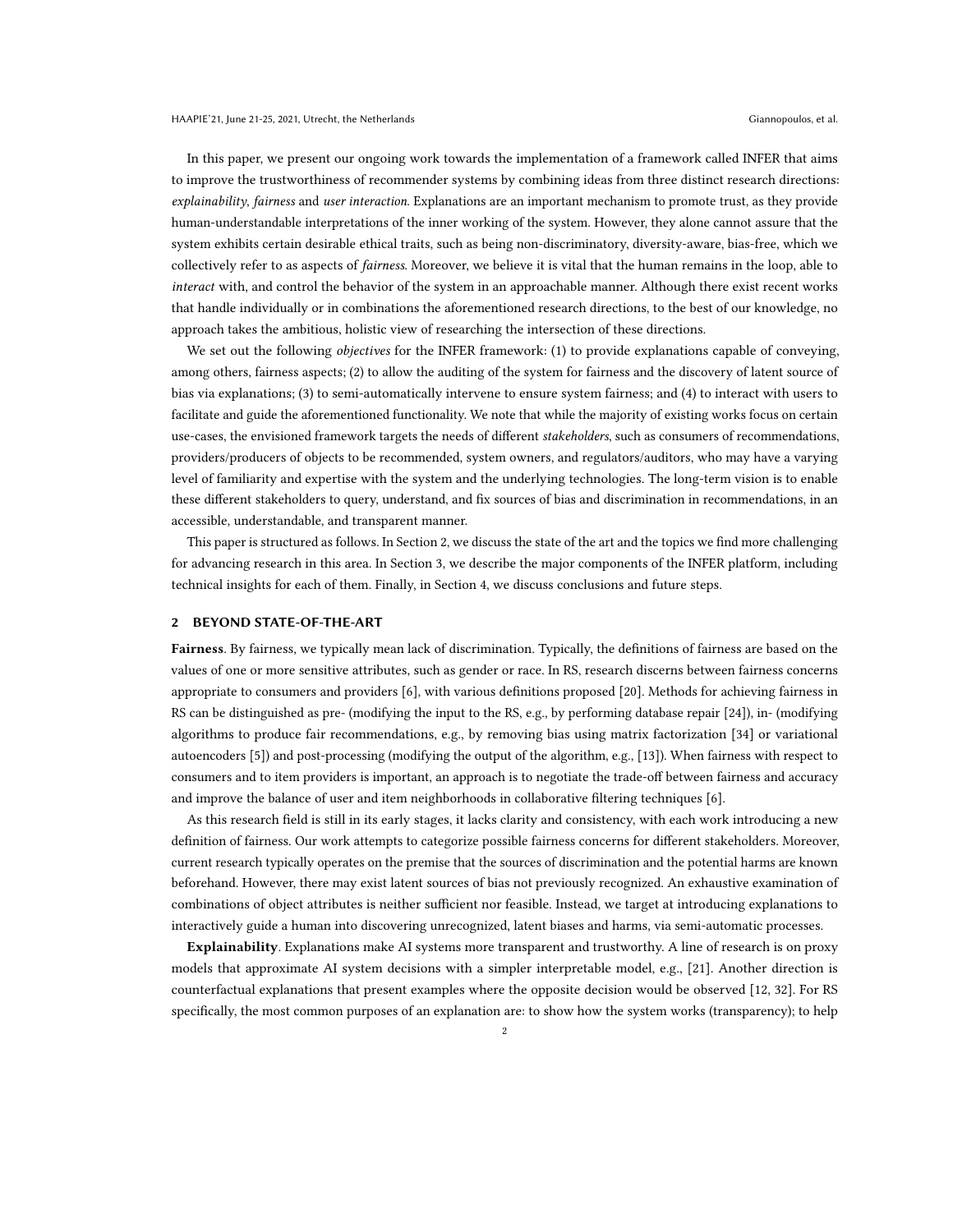In this paper, we present our ongoing work towards the implementation of a framework called INFER that aims to improve the trustworthiness of recommender systems by combining ideas from three distinct research directions: explainability, fairness and user interaction. Explanations are an important mechanism to promote trust, as they provide human-understandable interpretations of the inner working of the system. However, they alone cannot assure that the system exhibits certain desirable ethical traits, such as being non-discriminatory, diversity-aware, bias-free, which we collectively refer to as aspects of fairness. Moreover, we believe it is vital that the human remains in the loop, able to interact with, and control the behavior of the system in an approachable manner. Although there exist recent works that handle individually or in combinations the aforementioned research directions, to the best of our knowledge, no approach takes the ambitious, holistic view of researching the intersection of these directions.

We set out the following *objectives* for the INFER framework: (1) to provide explanations capable of conveying, among others, fairness aspects; (2) to allow the auditing of the system for fairness and the discovery of latent source of bias via explanations; (3) to semi-automatically intervene to ensure system fairness; and (4) to interact with users to facilitate and guide the aforementioned functionality. We note that while the majority of existing works focus on certain use-cases, the envisioned framework targets the needs of different stakeholders, such as consumers of recommendations, providers/producers of objects to be recommended, system owners, and regulators/auditors, who may have a varying level of familiarity and expertise with the system and the underlying technologies. The long-term vision is to enable these different stakeholders to query, understand, and fix sources of bias and discrimination in recommendations, in an accessible, understandable, and transparent manner.

This paper is structured as follows. In Section 2, we discuss the state of the art and the topics we find more challenging for advancing research in this area. In Section 3, we describe the major components of the INFER platform, including technical insights for each of them. Finally, in Section 4, we discuss conclusions and future steps.

#### 2 BEYOND STATE-OF-THE-ART

Fairness. By fairness, we typically mean lack of discrimination. Typically, the definitions of fairness are based on the values of one or more sensitive attributes, such as gender or race. In RS, research discerns between fairness concerns appropriate to consumers and providers [\[6\]](#page-6-5), with various definitions proposed [\[20\]](#page-6-6). Methods for achieving fairness in RS can be distinguished as pre- (modifying the input to the RS, e.g., by performing database repair [\[24\]](#page-6-7)), in- (modifying algorithms to produce fair recommendations, e.g., by removing bias using matrix factorization [\[34\]](#page-6-8) or variational autoencoders [\[5\]](#page-6-9)) and post-processing (modifying the output of the algorithm, e.g., [\[13\]](#page-6-10)). When fairness with respect to consumers and to item providers is important, an approach is to negotiate the trade-off between fairness and accuracy and improve the balance of user and item neighborhoods in collaborative filtering techniques [\[6\]](#page-6-5).

As this research field is still in its early stages, it lacks clarity and consistency, with each work introducing a new definition of fairness. Our work attempts to categorize possible fairness concerns for different stakeholders. Moreover, current research typically operates on the premise that the sources of discrimination and the potential harms are known beforehand. However, there may exist latent sources of bias not previously recognized. An exhaustive examination of combinations of object attributes is neither sufficient nor feasible. Instead, we target at introducing explanations to interactively guide a human into discovering unrecognized, latent biases and harms, via semi-automatic processes.

Explainability. Explanations make AI systems more transparent and trustworthy. A line of research is on proxy models that approximate AI system decisions with a simpler interpretable model, e.g., [\[21\]](#page-6-11). Another direction is counterfactual explanations that present examples where the opposite decision would be observed [\[12,](#page-6-12) [32\]](#page-6-13). For RS specifically, the most common purposes of an explanation are: to show how the system works (transparency); to help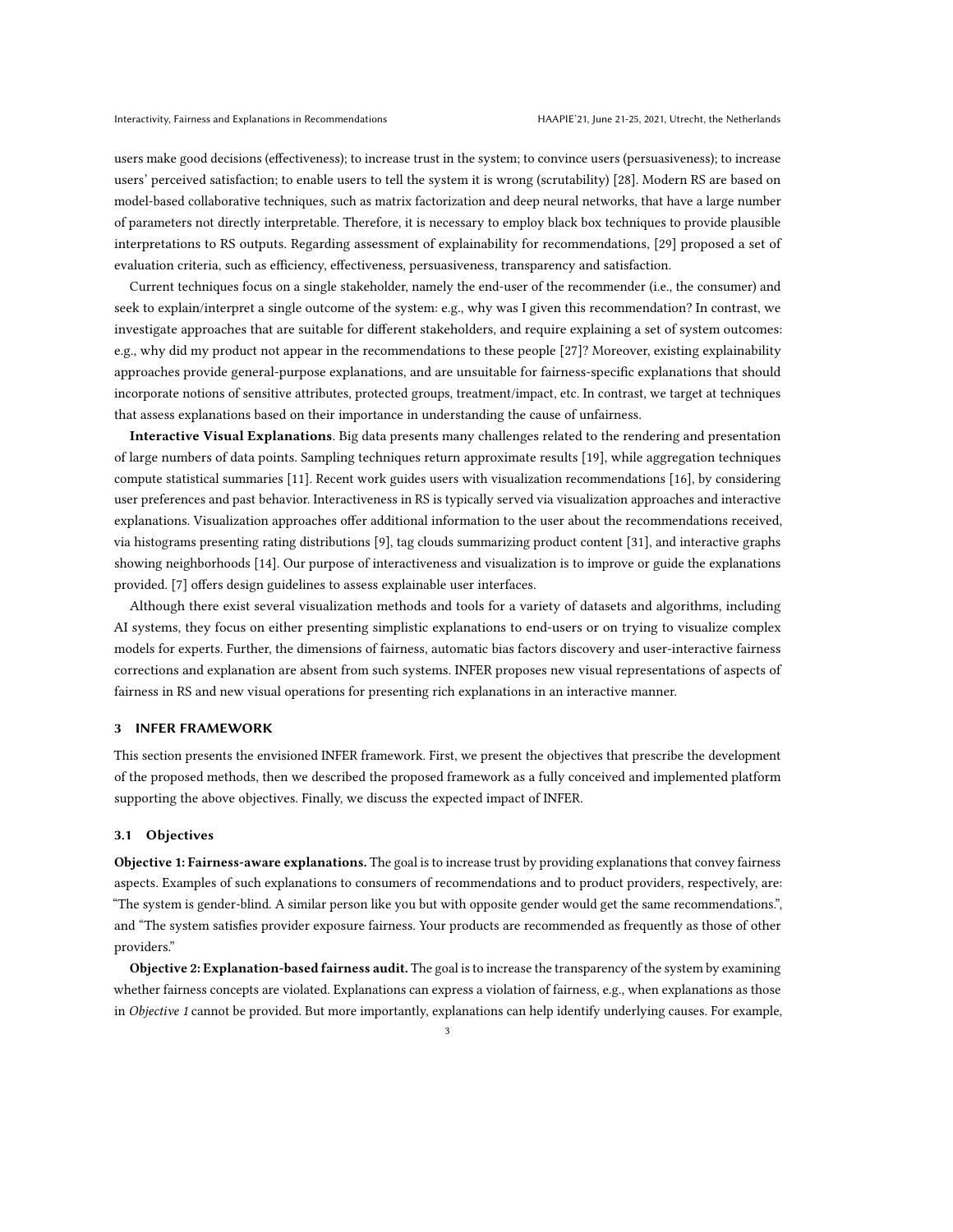users make good decisions (effectiveness); to increase trust in the system; to convince users (persuasiveness); to increase users' perceived satisfaction; to enable users to tell the system it is wrong (scrutability) [\[28\]](#page-6-14). Modern RS are based on model-based collaborative techniques, such as matrix factorization and deep neural networks, that have a large number of parameters not directly interpretable. Therefore, it is necessary to employ black box techniques to provide plausible interpretations to RS outputs. Regarding assessment of explainability for recommendations, [\[29\]](#page-6-15) proposed a set of evaluation criteria, such as efficiency, effectiveness, persuasiveness, transparency and satisfaction.

Current techniques focus on a single stakeholder, namely the end-user of the recommender (i.e., the consumer) and seek to explain/interpret a single outcome of the system: e.g., why was I given this recommendation? In contrast, we investigate approaches that are suitable for different stakeholders, and require explaining a set of system outcomes: e.g., why did my product not appear in the recommendations to these people [\[27\]](#page-6-16)? Moreover, existing explainability approaches provide general-purpose explanations, and are unsuitable for fairness-specific explanations that should incorporate notions of sensitive attributes, protected groups, treatment/impact, etc. In contrast, we target at techniques that assess explanations based on their importance in understanding the cause of unfairness.

Interactive Visual Explanations. Big data presents many challenges related to the rendering and presentation of large numbers of data points. Sampling techniques return approximate results [\[19\]](#page-6-17), while aggregation techniques compute statistical summaries [\[11\]](#page-6-18). Recent work guides users with visualization recommendations [\[16\]](#page-6-19), by considering user preferences and past behavior. Interactiveness in RS is typically served via visualization approaches and interactive explanations. Visualization approaches offer additional information to the user about the recommendations received, via histograms presenting rating distributions [\[9\]](#page-6-20), tag clouds summarizing product content [\[31\]](#page-6-21), and interactive graphs showing neighborhoods [\[14\]](#page-6-22). Our purpose of interactiveness and visualization is to improve or guide the explanations provided. [\[7\]](#page-6-3) offers design guidelines to assess explainable user interfaces.

Although there exist several visualization methods and tools for a variety of datasets and algorithms, including AI systems, they focus on either presenting simplistic explanations to end-users or on trying to visualize complex models for experts. Further, the dimensions of fairness, automatic bias factors discovery and user-interactive fairness corrections and explanation are absent from such systems. INFER proposes new visual representations of aspects of fairness in RS and new visual operations for presenting rich explanations in an interactive manner.

#### 3 INFER FRAMEWORK

This section presents the envisioned INFER framework. First, we present the objectives that prescribe the development of the proposed methods, then we described the proposed framework as a fully conceived and implemented platform supporting the above objectives. Finally, we discuss the expected impact of INFER.

#### 3.1 Objectives

Objective 1: Fairness-aware explanations. The goal is to increase trust by providing explanations that convey fairness aspects. Examples of such explanations to consumers of recommendations and to product providers, respectively, are: "The system is gender-blind. A similar person like you but with opposite gender would get the same recommendations.", and "The system satisfies provider exposure fairness. Your products are recommended as frequently as those of other providers."

Objective 2: Explanation-based fairness audit. The goal is to increase the transparency of the system by examining whether fairness concepts are violated. Explanations can express a violation of fairness, e.g., when explanations as those in Objective 1 cannot be provided. But more importantly, explanations can help identify underlying causes. For example,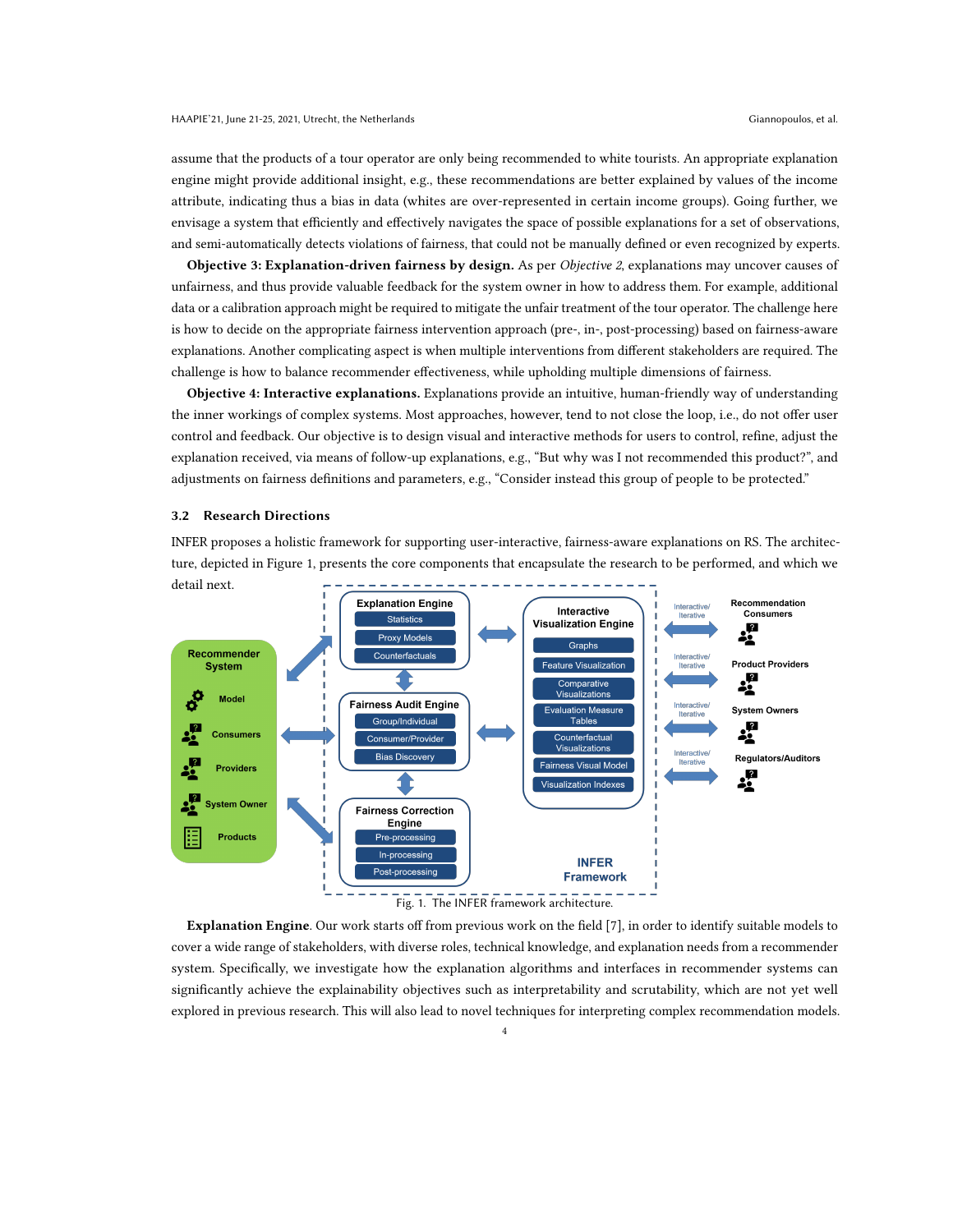assume that the products of a tour operator are only being recommended to white tourists. An appropriate explanation engine might provide additional insight, e.g., these recommendations are better explained by values of the income attribute, indicating thus a bias in data (whites are over-represented in certain income groups). Going further, we envisage a system that efficiently and effectively navigates the space of possible explanations for a set of observations, and semi-automatically detects violations of fairness, that could not be manually defined or even recognized by experts.

Objective 3: Explanation-driven fairness by design. As per Objective 2, explanations may uncover causes of unfairness, and thus provide valuable feedback for the system owner in how to address them. For example, additional data or a calibration approach might be required to mitigate the unfair treatment of the tour operator. The challenge here is how to decide on the appropriate fairness intervention approach (pre-, in-, post-processing) based on fairness-aware explanations. Another complicating aspect is when multiple interventions from different stakeholders are required. The challenge is how to balance recommender effectiveness, while upholding multiple dimensions of fairness.

Objective 4: Interactive explanations. Explanations provide an intuitive, human-friendly way of understanding the inner workings of complex systems. Most approaches, however, tend to not close the loop, i.e., do not offer user control and feedback. Our objective is to design visual and interactive methods for users to control, refine, adjust the explanation received, via means of follow-up explanations, e.g., "But why was I not recommended this product?", and adjustments on fairness definitions and parameters, e.g., "Consider instead this group of people to be protected."

#### 3.2 Research Directions

INFER proposes a holistic framework for supporting user-interactive, fairness-aware explanations on RS. The architecture, depicted in Figure [1,](#page-3-0) presents the core components that encapsulate the research to be performed, and which we

<span id="page-3-0"></span>

Explanation Engine. Our work starts off from previous work on the field [\[7\]](#page-6-3), in order to identify suitable models to cover a wide range of stakeholders, with diverse roles, technical knowledge, and explanation needs from a recommender system. Specifically, we investigate how the explanation algorithms and interfaces in recommender systems can significantly achieve the explainability objectives such as interpretability and scrutability, which are not yet well explored in previous research. This will also lead to novel techniques for interpreting complex recommendation models.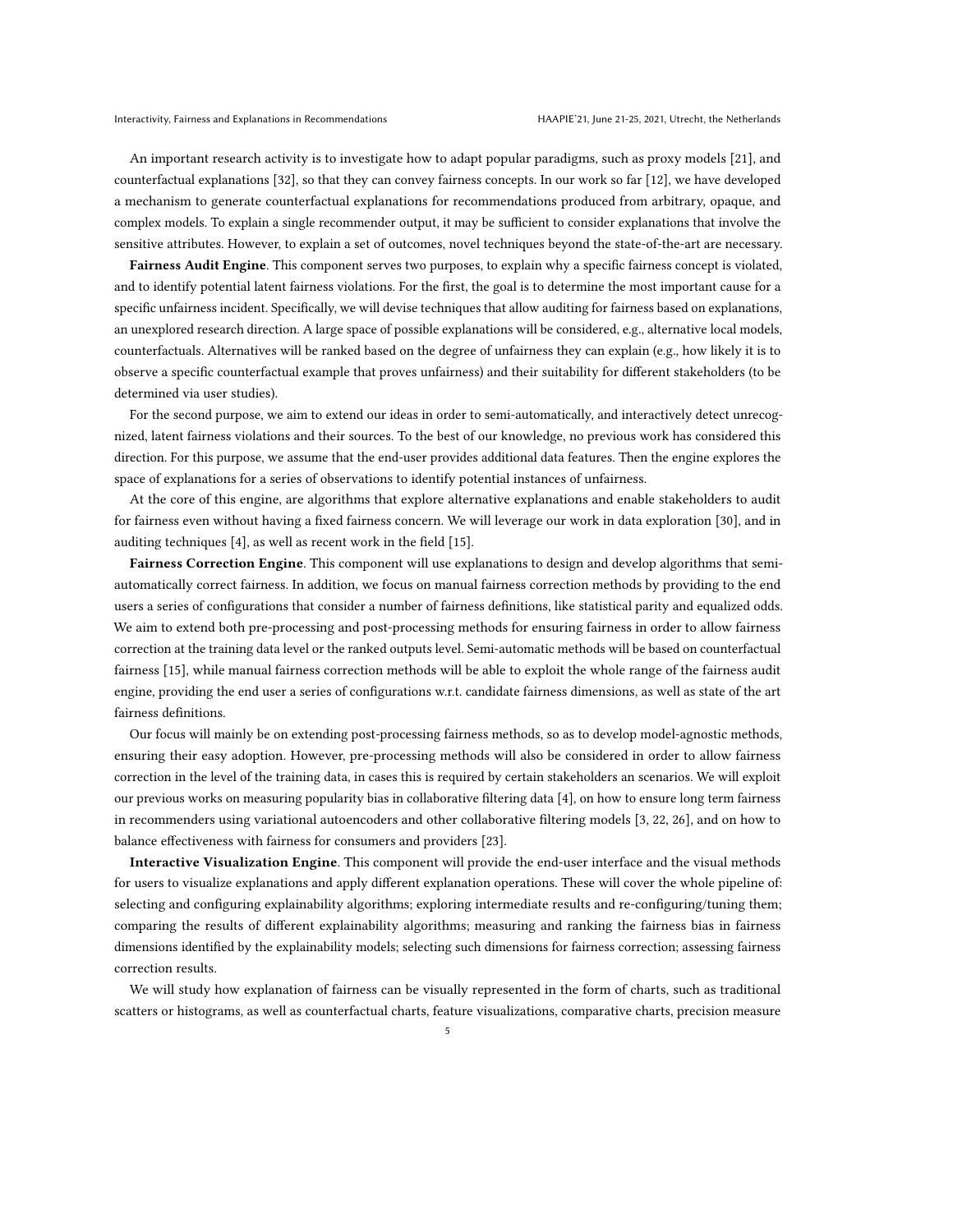An important research activity is to investigate how to adapt popular paradigms, such as proxy models [\[21\]](#page-6-11), and counterfactual explanations [\[32\]](#page-6-13), so that they can convey fairness concepts. In our work so far [\[12\]](#page-6-12), we have developed a mechanism to generate counterfactual explanations for recommendations produced from arbitrary, opaque, and complex models. To explain a single recommender output, it may be sufficient to consider explanations that involve the sensitive attributes. However, to explain a set of outcomes, novel techniques beyond the state-of-the-art are necessary.

Fairness Audit Engine. This component serves two purposes, to explain why a specific fairness concept is violated, and to identify potential latent fairness violations. For the first, the goal is to determine the most important cause for a specific unfairness incident. Specifically, we will devise techniques that allow auditing for fairness based on explanations, an unexplored research direction. A large space of possible explanations will be considered, e.g., alternative local models, counterfactuals. Alternatives will be ranked based on the degree of unfairness they can explain (e.g., how likely it is to observe a specific counterfactual example that proves unfairness) and their suitability for different stakeholders (to be determined via user studies).

For the second purpose, we aim to extend our ideas in order to semi-automatically, and interactively detect unrecognized, latent fairness violations and their sources. To the best of our knowledge, no previous work has considered this direction. For this purpose, we assume that the end-user provides additional data features. Then the engine explores the space of explanations for a series of observations to identify potential instances of unfairness.

At the core of this engine, are algorithms that explore alternative explanations and enable stakeholders to audit for fairness even without having a fixed fairness concern. We will leverage our work in data exploration [\[30\]](#page-6-23), and in auditing techniques [\[4\]](#page-6-24), as well as recent work in the field [\[15\]](#page-6-25).

Fairness Correction Engine. This component will use explanations to design and develop algorithms that semiautomatically correct fairness. In addition, we focus on manual fairness correction methods by providing to the end users a series of configurations that consider a number of fairness definitions, like statistical parity and equalized odds. We aim to extend both pre-processing and post-processing methods for ensuring fairness in order to allow fairness correction at the training data level or the ranked outputs level. Semi-automatic methods will be based on counterfactual fairness [\[15\]](#page-6-25), while manual fairness correction methods will be able to exploit the whole range of the fairness audit engine, providing the end user a series of configurations w.r.t. candidate fairness dimensions, as well as state of the art fairness definitions.

Our focus will mainly be on extending post-processing fairness methods, so as to develop model-agnostic methods, ensuring their easy adoption. However, pre-processing methods will also be considered in order to allow fairness correction in the level of the training data, in cases this is required by certain stakeholders an scenarios. We will exploit our previous works on measuring popularity bias in collaborative filtering data [\[4\]](#page-6-24), on how to ensure long term fairness in recommenders using variational autoencoders and other collaborative filtering models [\[3,](#page-6-26) [22,](#page-6-27) [26\]](#page-6-28), and on how to balance effectiveness with fairness for consumers and providers [\[23\]](#page-6-29).

Interactive Visualization Engine. This component will provide the end-user interface and the visual methods for users to visualize explanations and apply different explanation operations. These will cover the whole pipeline of: selecting and configuring explainability algorithms; exploring intermediate results and re-configuring/tuning them; comparing the results of different explainability algorithms; measuring and ranking the fairness bias in fairness dimensions identified by the explainability models; selecting such dimensions for fairness correction; assessing fairness correction results.

We will study how explanation of fairness can be visually represented in the form of charts, such as traditional scatters or histograms, as well as counterfactual charts, feature visualizations, comparative charts, precision measure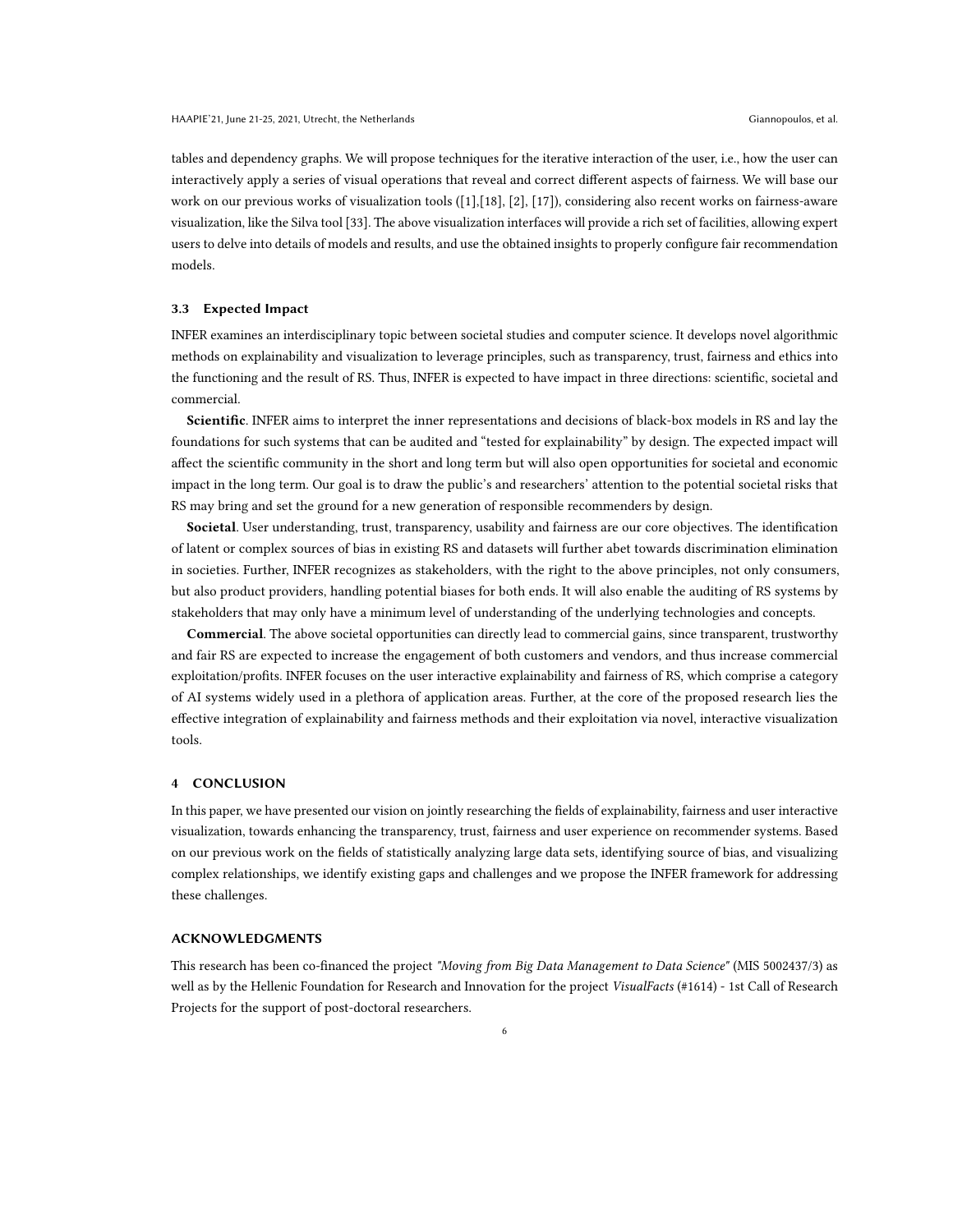tables and dependency graphs. We will propose techniques for the iterative interaction of the user, i.e., how the user can interactively apply a series of visual operations that reveal and correct different aspects of fairness. We will base our work on our previous works of visualization tools ([\[1\]](#page-6-30),[\[18\]](#page-6-31), [\[2\]](#page-6-32), [\[17\]](#page-6-33)), considering also recent works on fairness-aware visualization, like the Silva tool [\[33\]](#page-6-34). The above visualization interfaces will provide a rich set of facilities, allowing expert users to delve into details of models and results, and use the obtained insights to properly configure fair recommendation models.

#### 3.3 Expected Impact

INFER examines an interdisciplinary topic between societal studies and computer science. It develops novel algorithmic methods on explainability and visualization to leverage principles, such as transparency, trust, fairness and ethics into the functioning and the result of RS. Thus, INFER is expected to have impact in three directions: scientific, societal and commercial.

Scientific. INFER aims to interpret the inner representations and decisions of black-box models in RS and lay the foundations for such systems that can be audited and "tested for explainability" by design. The expected impact will affect the scientific community in the short and long term but will also open opportunities for societal and economic impact in the long term. Our goal is to draw the public's and researchers' attention to the potential societal risks that RS may bring and set the ground for a new generation of responsible recommenders by design.

Societal. User understanding, trust, transparency, usability and fairness are our core objectives. The identification of latent or complex sources of bias in existing RS and datasets will further abet towards discrimination elimination in societies. Further, INFER recognizes as stakeholders, with the right to the above principles, not only consumers, but also product providers, handling potential biases for both ends. It will also enable the auditing of RS systems by stakeholders that may only have a minimum level of understanding of the underlying technologies and concepts.

Commercial. The above societal opportunities can directly lead to commercial gains, since transparent, trustworthy and fair RS are expected to increase the engagement of both customers and vendors, and thus increase commercial exploitation/profits. INFER focuses on the user interactive explainability and fairness of RS, which comprise a category of AI systems widely used in a plethora of application areas. Further, at the core of the proposed research lies the effective integration of explainability and fairness methods and their exploitation via novel, interactive visualization tools.

## 4 CONCLUSION

In this paper, we have presented our vision on jointly researching the fields of explainability, fairness and user interactive visualization, towards enhancing the transparency, trust, fairness and user experience on recommender systems. Based on our previous work on the fields of statistically analyzing large data sets, identifying source of bias, and visualizing complex relationships, we identify existing gaps and challenges and we propose the INFER framework for addressing these challenges.

## ACKNOWLEDGMENTS

This research has been co-financed the project "Moving from Big Data Management to Data Science" (MIS 5002437/3) as well as by the Hellenic Foundation for Research and Innovation for the project VisualFacts (#1614) - 1st Call of Research Projects for the support of post-doctoral researchers.